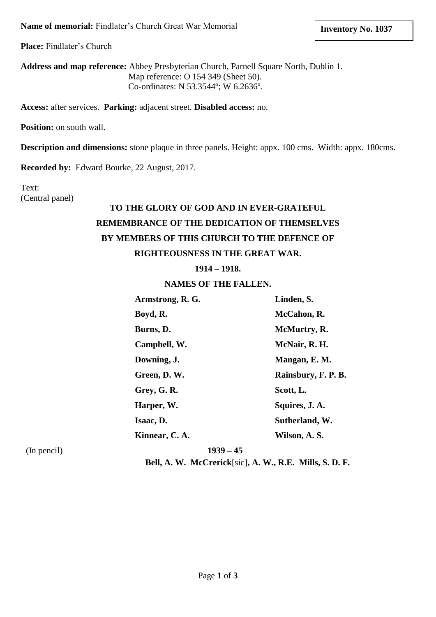**Place:** Findlater's Church

**Address and map reference:** Abbey Presbyterian Church, Parnell Square North, Dublin 1. Map reference: O 154 349 (Sheet 50). Co-ordinates: N 53.3544º; W 6.2636º.

**Access:** after services. **Parking:** adjacent street. **Disabled access:** no.

**Position:** on south wall.

**Description and dimensions:** stone plaque in three panels. Height: appx. 100 cms. Width: appx. 180cms.

**Recorded by:** Edward Bourke, 22 August, 2017.

## Text: (Central panel)

## **TO THE GLORY OF GOD AND IN EVER-GRATEFUL REMEMBRANCE OF THE DEDICATION OF THEMSELVES BY MEMBERS OF THIS CHURCH TO THE DEFENCE OF RIGHTEOUSNESS IN THE GREAT WAR.**

**1914 – 1918.**

## **NAMES OF THE FALLEN.**

| Armstrong, R. G. | Linden, S.          |
|------------------|---------------------|
| Boyd, R.         | McCahon, R.         |
| Burns, D.        | McMurtry, R.        |
| Campbell, W.     | McNair, R. H.       |
| Downing, J.      | Mangan, E.M.        |
| Green, D.W.      | Rainsbury, F. P. B. |
| Grey, G. R.      | Scott, L.           |
| Harper, W.       | Squires, J. A.      |
| Isaac, D.        | Sutherland, W.      |
| Kinnear, C. A.   | Wilson, A.S.        |

(In pencil) **1939 – 45**

**Bell, A. W. McCrerick**[sic]**, A. W., R.E. Mills, S. D. F.**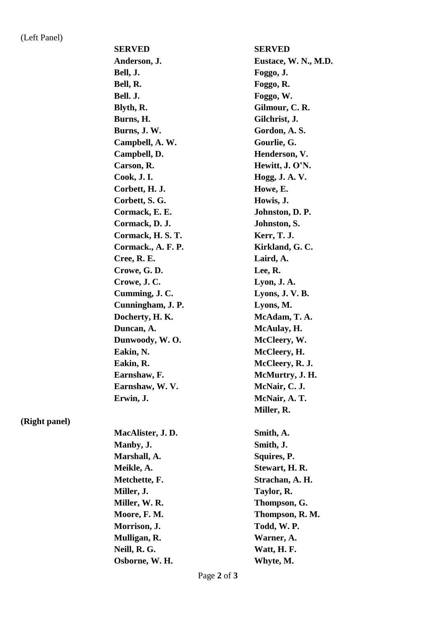**(Right panel)**

| <b>SERVED</b>      | <b>SERVED</b>        |
|--------------------|----------------------|
| Anderson, J.       | Eustace, W. N., M.D. |
| Bell, J.           | Foggo, J.            |
| Bell, R.           | Foggo, R.            |
| Bell. J.           | Foggo, W.            |
| Blyth, R.          | Gilmour, C. R.       |
| Burns, H.          | Gilchrist, J.        |
| Burns, J. W.       | Gordon, A.S.         |
| Campbell, A. W.    | Gourlie, G.          |
| Campbell, D.       | Henderson, V.        |
| Carson, R.         | Hewitt, J. O'N.      |
| Cook, J. I.        | Hogg, J. A. V.       |
| Corbett, H. J.     | Howe, E.             |
| Corbett, S. G.     | Howis, J.            |
| Cormack, E. E.     | Johnston, D. P.      |
| Cormack, D. J.     | Johnston, S.         |
| Cormack, H. S. T.  | Kerr, T. J.          |
| Cormack., A. F. P. | Kirkland, G.C.       |
| Cree, R. E.        | Laird, A.            |
| Crowe, G.D.        | Lee, R.              |
| Crowe, J.C.        | Lyon, J. A.          |
| Cumming, J. C.     | Lyons, J.V.B.        |
| Cunningham, J. P.  | Lyons, M.            |
| Docherty, H.K.     | McAdam, T. A.        |
| Duncan, A.         | McAulay, H.          |
| Dunwoody, W.O.     | McCleery, W.         |
| Eakin, N.          | McCleery, H.         |
| Eakin, R.          | McCleery, R. J.      |
| Earnshaw, F.       | McMurtry, J. H.      |
| Earnshaw, W.V.     | McNair, C. J.        |
| Erwin, J.          | McNair, A. T.        |
|                    | Miller, R.           |
| MacAlister, J.D.   | Smith, A.            |
| Manby, J.          | Smith, J.            |
| Marshall, A.       | Squires, P.          |
| Meikle, A.         | Stewart, H. R.       |
| Metchette, F.      | Strachan, A. H.      |
| Miller, J.         | Taylor, R.           |
| Miller, W. R.      | Thompson, G.         |
| Moore, F. M.       | Thompson, R. M.      |
| Morrison, J.       | Todd, W.P.           |
| Mulligan, R.       | Warner, A.           |
| Neill, R. G.       | Watt, H. F.          |
| Osborne, W. H.     | Whyte, M.            |
|                    |                      |